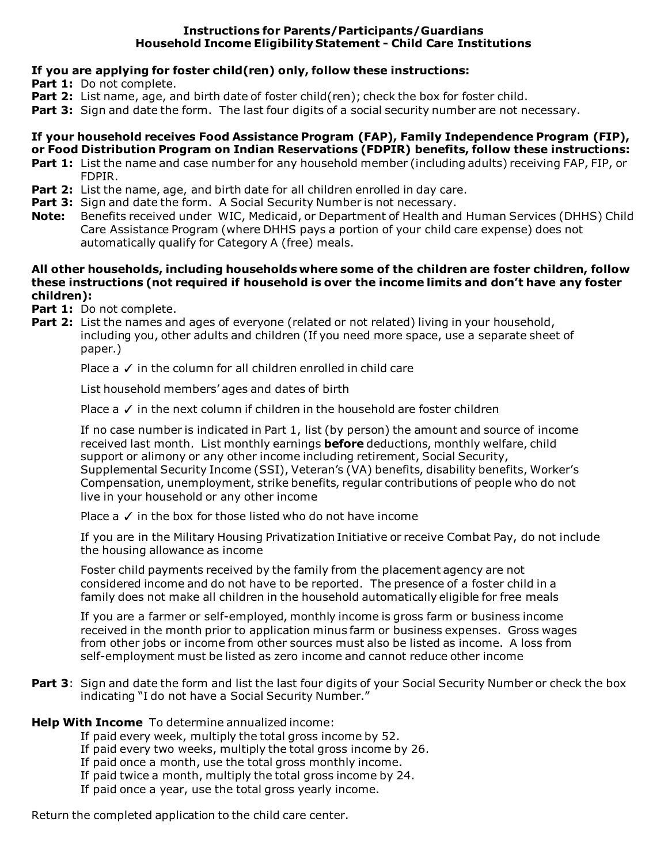### **Instructions for Parents/Participants/Guardians Household Income Eligibility Statement - Child Care Institutions**

# **If you are applying for foster child(ren) only, follow these instructions:**

- Part 1: Do not complete.
- **Part 2:** List name, age, and birth date of foster child(ren); check the box for foster child.
- **Part 3:** Sign and date the form. The last four digits of a social security number are not necessary.

### **If your household receives Food Assistance Program (FAP), Family Independence Program (FIP), or Food Distribution Program on Indian Reservations (FDPIR) benefits, follow these instructions:**

- **Part 1:** List the name and case number for any household member (including adults) receiving FAP, FIP, or FDPIR.
- **Part 2:** List the name, age, and birth date for all children enrolled in day care.
- **Part 3:** Sign and date the form. A Social Security Number is not necessary.
- **Note:** Benefits received under WIC, Medicaid, or Department of Health and Human Services (DHHS) Child Care Assistance Program (where DHHS pays a portion of your child care expense) does not automatically qualify for Category A (free) meals.

### **All other households, including households where some of the children are foster children, follow these instructions (not required if household is over the income limits and don't have any foster children):**

Part 1: Do not complete.

**Part 2:** List the names and ages of everyone (related or not related) living in your household, including you, other adults and children (If you need more space, use a separate sheet of paper.)

Place a  $\checkmark$  in the column for all children enrolled in child care

List household members' ages and dates of birth

Place a ✓ in the next column if children in the household are foster children

If no case number is indicated in Part 1, list (by person) the amount and source of income received last month. List monthly earnings **before** deductions, monthly welfare, child support or alimony or any other income including retirement, Social Security, Supplemental Security Income (SSI), Veteran's (VA) benefits, disability benefits, Worker's Compensation, unemployment, strike benefits, regular contributions of people who do not live in your household or any other income

Place  $a \vee$  in the box for those listed who do not have income

If you are in the Military Housing Privatization Initiative or receive Combat Pay, do not include the housing allowance as income

Foster child payments received by the family from the placement agency are not considered income and do not have to be reported. The presence of a foster child in a family does not make all children in the household automatically eligible for free meals

If you are a farmer or self-employed, monthly income is gross farm or business income received in the month prior to application minus farm or business expenses. Gross wages from other jobs or income from other sources must also be listed as income. A loss from self-employment must be listed as zero income and cannot reduce other income

Part 3: Sign and date the form and list the last four digits of your Social Security Number or check the box indicating "I do not have a Social Security Number."

### **Help With Income** To determine annualized income:

If paid every week, multiply the total gross income by 52.

- If paid every two weeks, multiply the total gross income by 26.
- If paid once a month, use the total gross monthly income.
- If paid twice a month, multiply the total gross income by 24.
- If paid once a year, use the total gross yearly income.

Return the completed application to the child care center.